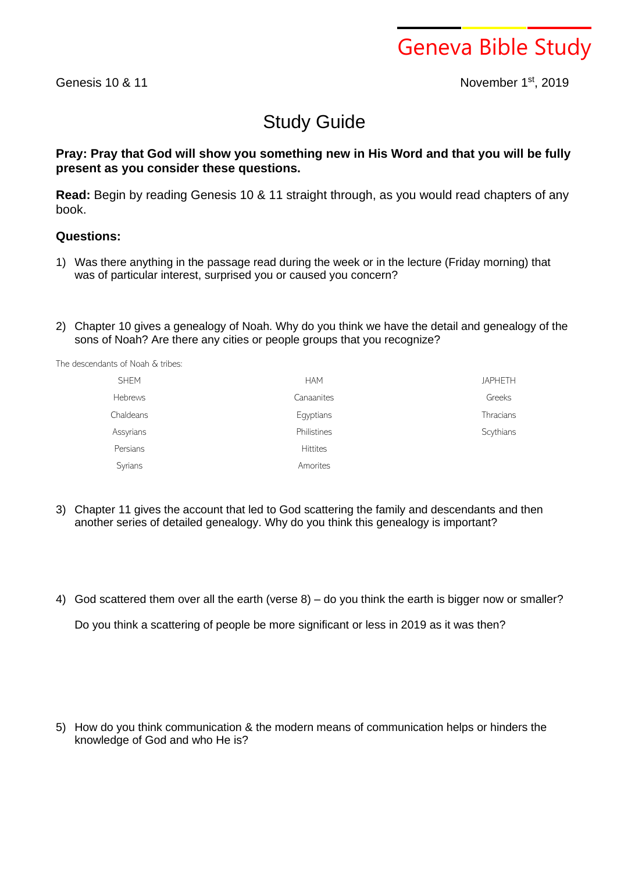Geneva Bible Study

Genesis 10 & 11

st , 2019

## Study Guide

## **Pray: Pray that God will show you something new in His Word and that you will be fully present as you consider these questions.**

**Read:** Begin by reading Genesis 10 & 11 straight through, as you would read chapters of any book.

## **Questions:**

- 1) Was there anything in the passage read during the week or in the lecture (Friday morning) that was of particular interest, surprised you or caused you concern?
- 2) Chapter 10 gives a genealogy of Noah. Why do you think we have the detail and genealogy of the sons of Noah? Are there any cities or people groups that you recognize?

The descendants of Noah & tribes:

| <b>SHEM</b>    | <b>HAM</b>      | <b>JAPHETH</b>   |
|----------------|-----------------|------------------|
| <b>Hebrews</b> | Canaanites      | Greeks           |
| Chaldeans      | Egyptians       | <b>Thracians</b> |
| Assyrians      | Philistines     | Scythians        |
| Persians       | <b>Hittites</b> |                  |
| Syrians        | Amorites        |                  |

- 3) Chapter 11 gives the account that led to God scattering the family and descendants and then another series of detailed genealogy. Why do you think this genealogy is important?
- 4) God scattered them over all the earth (verse 8) do you think the earth is bigger now or smaller?

Do you think a scattering of people be more significant or less in 2019 as it was then?

5) How do you think communication & the modern means of communication helps or hinders the knowledge of God and who He is?